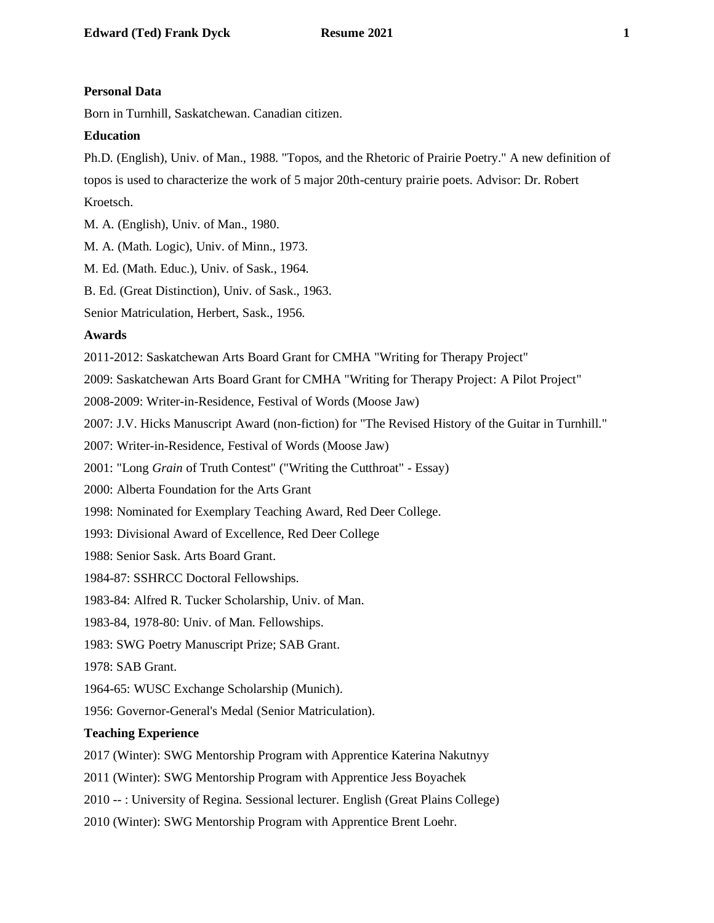### **Personal Data**

Born in Turnhill, Saskatchewan. Canadian citizen.

### **Education**

Ph.D. (English), Univ. of Man., 1988. "Topos, and the Rhetoric of Prairie Poetry." A new definition of topos is used to characterize the work of 5 major 20th-century prairie poets. Advisor: Dr. Robert Kroetsch.

M. A. (English), Univ. of Man., 1980.

M. A. (Math. Logic), Univ. of Minn., 1973.

M. Ed. (Math. Educ.), Univ. of Sask., 1964.

B. Ed. (Great Distinction), Univ. of Sask., 1963.

Senior Matriculation, Herbert, Sask., 1956.

#### **Awards**

2011-2012: Saskatchewan Arts Board Grant for CMHA "Writing for Therapy Project"

2009: Saskatchewan Arts Board Grant for CMHA "Writing for Therapy Project: A Pilot Project"

2008-2009: Writer-in-Residence, Festival of Words (Moose Jaw)

2007: J.V. Hicks Manuscript Award (non-fiction) for "The Revised History of the Guitar in Turnhill."

2007: Writer-in-Residence, Festival of Words (Moose Jaw)

2001: "Long *Grain* of Truth Contest" ("Writing the Cutthroat" - Essay)

2000: Alberta Foundation for the Arts Grant

1998: Nominated for Exemplary Teaching Award, Red Deer College.

1993: Divisional Award of Excellence, Red Deer College

1988: Senior Sask. Arts Board Grant.

1984-87: SSHRCC Doctoral Fellowships.

1983-84: Alfred R. Tucker Scholarship, Univ. of Man.

1983-84, 1978-80: Univ. of Man. Fellowships.

1983: SWG Poetry Manuscript Prize; SAB Grant.

1978: SAB Grant.

1964-65: WUSC Exchange Scholarship (Munich).

1956: Governor-General's Medal (Senior Matriculation).

## **Teaching Experience**

2017 (Winter): SWG Mentorship Program with Apprentice Katerina Nakutnyy

2011 (Winter): SWG Mentorship Program with Apprentice Jess Boyachek

2010 -- : University of Regina. Sessional lecturer. English (Great Plains College)

2010 (Winter): SWG Mentorship Program with Apprentice Brent Loehr.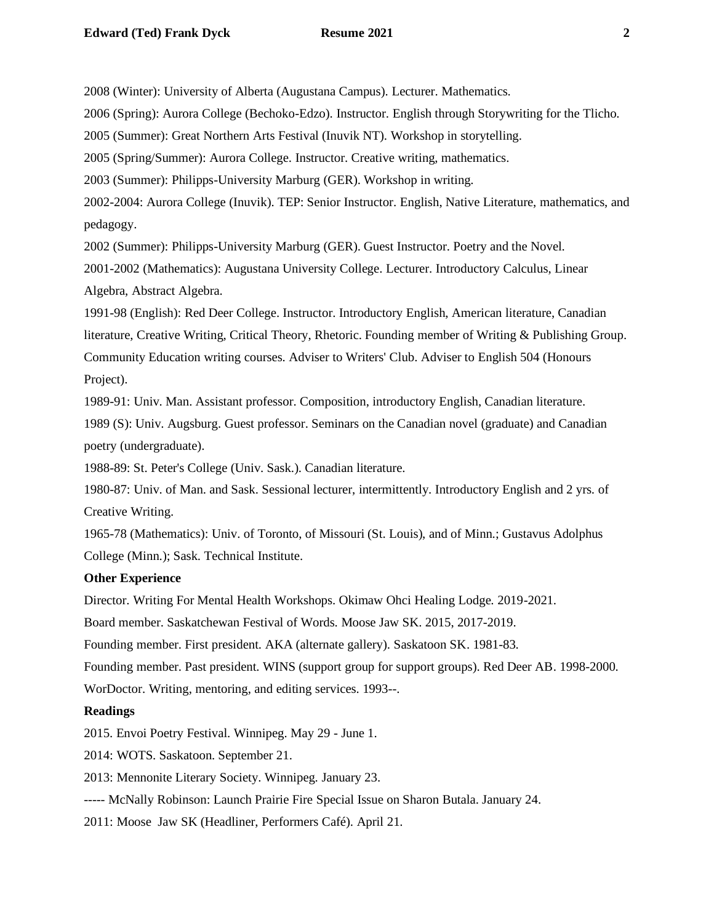2008 (Winter): University of Alberta (Augustana Campus). Lecturer. Mathematics.

2006 (Spring): Aurora College (Bechoko-Edzo). Instructor. English through Storywriting for the Tlicho.

2005 (Summer): Great Northern Arts Festival (Inuvik NT). Workshop in storytelling.

2005 (Spring/Summer): Aurora College. Instructor. Creative writing, mathematics.

2003 (Summer): Philipps-University Marburg (GER). Workshop in writing.

2002-2004: Aurora College (Inuvik). TEP: Senior Instructor. English, Native Literature, mathematics, and pedagogy.

2002 (Summer): Philipps-University Marburg (GER). Guest Instructor. Poetry and the Novel.

2001-2002 (Mathematics): Augustana University College. Lecturer. Introductory Calculus, Linear Algebra, Abstract Algebra.

1991-98 (English): Red Deer College. Instructor. Introductory English, American literature, Canadian literature, Creative Writing, Critical Theory, Rhetoric. Founding member of Writing & Publishing Group. Community Education writing courses. Adviser to Writers' Club. Adviser to English 504 (Honours Project).

1989-91: Univ. Man. Assistant professor. Composition, introductory English, Canadian literature.

1989 (S): Univ. Augsburg. Guest professor. Seminars on the Canadian novel (graduate) and Canadian poetry (undergraduate).

1988-89: St. Peter's College (Univ. Sask.). Canadian literature.

1980-87: Univ. of Man. and Sask. Sessional lecturer, intermittently. Introductory English and 2 yrs. of Creative Writing.

1965-78 (Mathematics): Univ. of Toronto, of Missouri (St. Louis), and of Minn.; Gustavus Adolphus College (Minn.); Sask. Technical Institute.

## **Other Experience**

Director. Writing For Mental Health Workshops. Okimaw Ohci Healing Lodge. 2019-2021.

Board member. Saskatchewan Festival of Words. Moose Jaw SK. 2015, 2017-2019.

Founding member. First president. AKA (alternate gallery). Saskatoon SK. 1981-83.

Founding member. Past president. WINS (support group for support groups). Red Deer AB. 1998-2000. WorDoctor. Writing, mentoring, and editing services. 1993--.

### **Readings**

2015. Envoi Poetry Festival. Winnipeg. May 29 - June 1.

2014: WOTS. Saskatoon. September 21.

2013: Mennonite Literary Society. Winnipeg. January 23.

----- McNally Robinson: Launch Prairie Fire Special Issue on Sharon Butala. January 24.

2011: Moose Jaw SK (Headliner, Performers Café). April 21.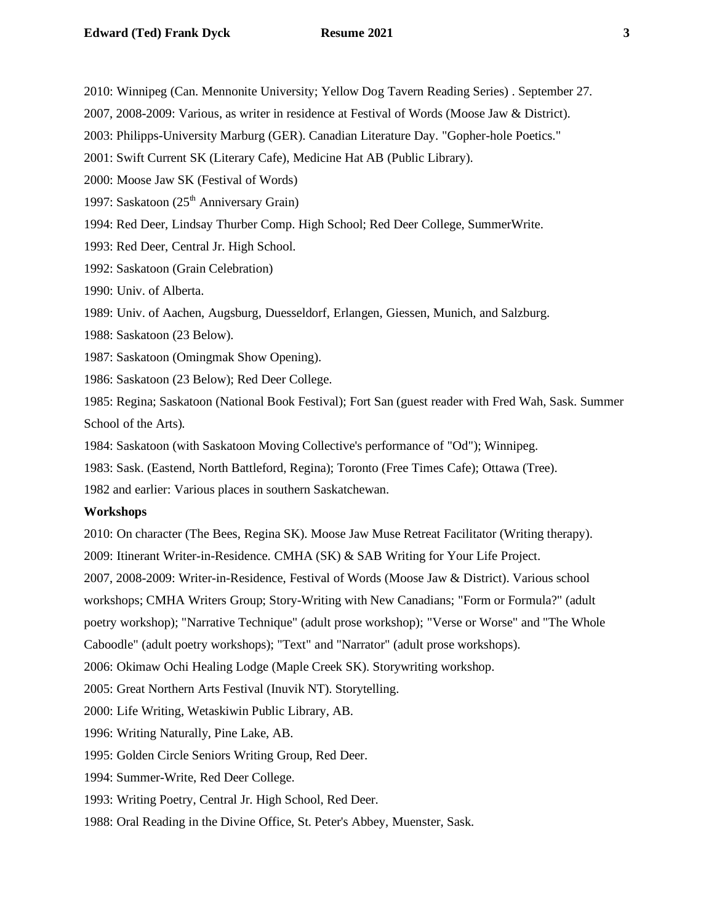2010: Winnipeg (Can. Mennonite University; Yellow Dog Tavern Reading Series) . September 27.

2007, 2008-2009: Various, as writer in residence at Festival of Words (Moose Jaw & District).

2003: Philipps-University Marburg (GER). Canadian Literature Day. "Gopher-hole Poetics."

2001: Swift Current SK (Literary Cafe), Medicine Hat AB (Public Library).

2000: Moose Jaw SK (Festival of Words)

1997: Saskatoon  $(25<sup>th</sup>$  Anniversary Grain)

1994: Red Deer, Lindsay Thurber Comp. High School; Red Deer College, SummerWrite.

1993: Red Deer, Central Jr. High School.

1992: Saskatoon (Grain Celebration)

1990: Univ. of Alberta.

1989: Univ. of Aachen, Augsburg, Duesseldorf, Erlangen, Giessen, Munich, and Salzburg.

1988: Saskatoon (23 Below).

1987: Saskatoon (Omingmak Show Opening).

1986: Saskatoon (23 Below); Red Deer College.

1985: Regina; Saskatoon (National Book Festival); Fort San (guest reader with Fred Wah, Sask. Summer School of the Arts).

1984: Saskatoon (with Saskatoon Moving Collective's performance of "Od"); Winnipeg.

1983: Sask. (Eastend, North Battleford, Regina); Toronto (Free Times Cafe); Ottawa (Tree).

1982 and earlier: Various places in southern Saskatchewan.

#### **Workshops**

2010: On character (The Bees, Regina SK). Moose Jaw Muse Retreat Facilitator (Writing therapy).

2009: Itinerant Writer-in-Residence. CMHA (SK) & SAB Writing for Your Life Project.

2007, 2008-2009: Writer-in-Residence, Festival of Words (Moose Jaw & District). Various school

workshops; CMHA Writers Group; Story-Writing with New Canadians; "Form or Formula?" (adult

poetry workshop); "Narrative Technique" (adult prose workshop); "Verse or Worse" and "The Whole

Caboodle" (adult poetry workshops); "Text" and "Narrator" (adult prose workshops).

2006: Okimaw Ochi Healing Lodge (Maple Creek SK). Storywriting workshop.

2005: Great Northern Arts Festival (Inuvik NT). Storytelling.

2000: Life Writing, Wetaskiwin Public Library, AB.

1996: Writing Naturally, Pine Lake, AB.

1995: Golden Circle Seniors Writing Group, Red Deer.

1994: Summer-Write, Red Deer College.

1993: Writing Poetry, Central Jr. High School, Red Deer.

1988: Oral Reading in the Divine Office, St. Peter's Abbey, Muenster, Sask.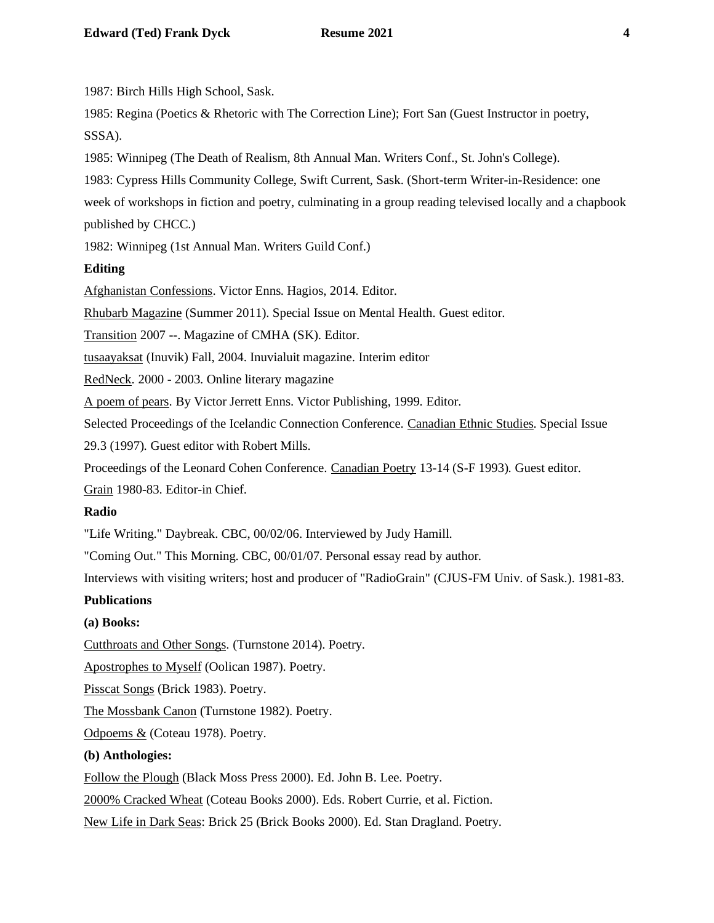1987: Birch Hills High School, Sask.

1985: Regina (Poetics & Rhetoric with The Correction Line); Fort San (Guest Instructor in poetry, SSSA).

1985: Winnipeg (The Death of Realism, 8th Annual Man. Writers Conf., St. John's College).

1983: Cypress Hills Community College, Swift Current, Sask. (Short-term Writer-in-Residence: one

week of workshops in fiction and poetry, culminating in a group reading televised locally and a chapbook published by CHCC.)

1982: Winnipeg (1st Annual Man. Writers Guild Conf.)

# **Editing**

Afghanistan Confessions. Victor Enns. Hagios, 2014. Editor.

Rhubarb Magazine (Summer 2011). Special Issue on Mental Health. Guest editor.

Transition 2007 --. Magazine of CMHA (SK). Editor.

tusaayaksat (Inuvik) Fall, 2004. Inuvialuit magazine. Interim editor

RedNeck. 2000 - 2003. Online literary magazine

A poem of pears. By Victor Jerrett Enns. Victor Publishing, 1999. Editor.

Selected Proceedings of the Icelandic Connection Conference. Canadian Ethnic Studies. Special Issue

29.3 (1997). Guest editor with Robert Mills.

Proceedings of the Leonard Cohen Conference. Canadian Poetry 13-14 (S-F 1993). Guest editor.

Grain 1980-83. Editor-in Chief.

# **Radio**

"Life Writing." Daybreak. CBC, 00/02/06. Interviewed by Judy Hamill.

"Coming Out." This Morning. CBC, 00/01/07. Personal essay read by author.

Interviews with visiting writers; host and producer of "RadioGrain" (CJUS-FM Univ. of Sask.). 1981-83.

# **Publications**

# **(a) Books:**

Cutthroats and Other Songs. (Turnstone 2014). Poetry.

Apostrophes to Myself (Oolican 1987). Poetry.

Pisscat Songs (Brick 1983). Poetry.

The Mossbank Canon (Turnstone 1982). Poetry.

Odpoems & (Coteau 1978). Poetry.

# **(b) Anthologies:**

Follow the Plough (Black Moss Press 2000). Ed. John B. Lee. Poetry.

2000% Cracked Wheat (Coteau Books 2000). Eds. Robert Currie, et al. Fiction.

New Life in Dark Seas: Brick 25 (Brick Books 2000). Ed. Stan Dragland. Poetry.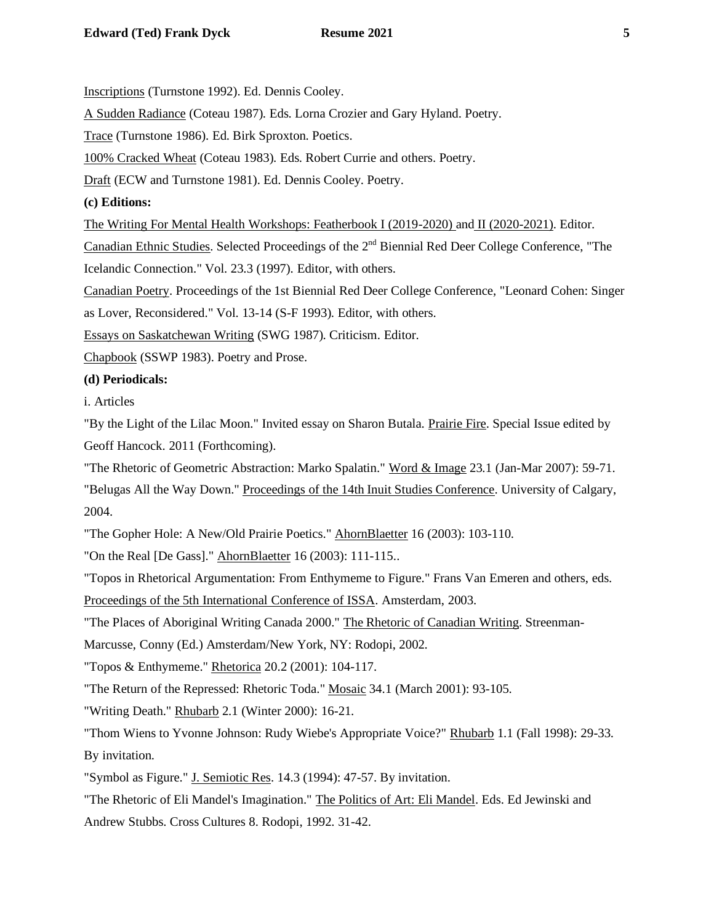Inscriptions (Turnstone 1992). Ed. Dennis Cooley.

A Sudden Radiance (Coteau 1987). Eds. Lorna Crozier and Gary Hyland. Poetry.

Trace (Turnstone 1986). Ed. Birk Sproxton. Poetics.

100% Cracked Wheat (Coteau 1983). Eds. Robert Currie and others. Poetry.

Draft (ECW and Turnstone 1981). Ed. Dennis Cooley. Poetry.

**(c) Editions:**

The Writing For Mental Health Workshops: Featherbook I (2019-2020) and II (2020-2021). Editor.

Canadian Ethnic Studies. Selected Proceedings of the 2<sup>nd</sup> Biennial Red Deer College Conference, "The

Icelandic Connection." Vol. 23.3 (1997). Editor, with others.

Canadian Poetry. Proceedings of the 1st Biennial Red Deer College Conference, "Leonard Cohen: Singer

as Lover, Reconsidered." Vol. 13-14 (S-F 1993). Editor, with others.

Essays on Saskatchewan Writing (SWG 1987). Criticism. Editor.

Chapbook (SSWP 1983). Poetry and Prose.

## **(d) Periodicals:**

i. Articles

"By the Light of the Lilac Moon." Invited essay on Sharon Butala. Prairie Fire. Special Issue edited by Geoff Hancock. 2011 (Forthcoming).

"The Rhetoric of Geometric Abstraction: Marko Spalatin." Word & Image 23.1 (Jan-Mar 2007): 59-71. "Belugas All the Way Down." [Proceedings of the 14th Inuit Studies Conference.](http://pubs.aina.ucalgary.ca/aina/14thISCProceedings.pdf) University of Calgary, 2004.

"The Gopher Hole: A New/Old Prairie Poetics." AhornBlaetter 16 (2003): 103-110.

"On the Real [De Gass]." AhornBlaetter 16 (2003): 111-115..

"Topos in Rhetorical Argumentation: From Enthymeme to Figure." Frans Van Emeren and others, eds. Proceedings of the 5th International Conference of ISSA. Amsterdam, 2003.

"The Places of Aboriginal Writing Canada 2000." The Rhetoric of Canadian Writing. Streenman-

Marcusse, Conny (Ed.) Amsterdam/New York, NY: Rodopi, 2002.

"Topos & Enthymeme." Rhetorica 20.2 (2001): 104-117.

"The Return of the Repressed: Rhetoric Toda." Mosaic 34.1 (March 2001): 93-105.

"Writing Death." Rhubarb 2.1 (Winter 2000): 16-21.

"Thom Wiens to Yvonne Johnson: Rudy Wiebe's Appropriate Voice?" Rhubarb 1.1 (Fall 1998): 29-33. By invitation.

"Symbol as Figure." J. Semiotic Res. 14.3 (1994): 47-57. By invitation.

"The Rhetoric of Eli Mandel's Imagination." The Politics of Art: Eli Mandel. Eds. Ed Jewinski and Andrew Stubbs. Cross Cultures 8. Rodopi, 1992. 31-42.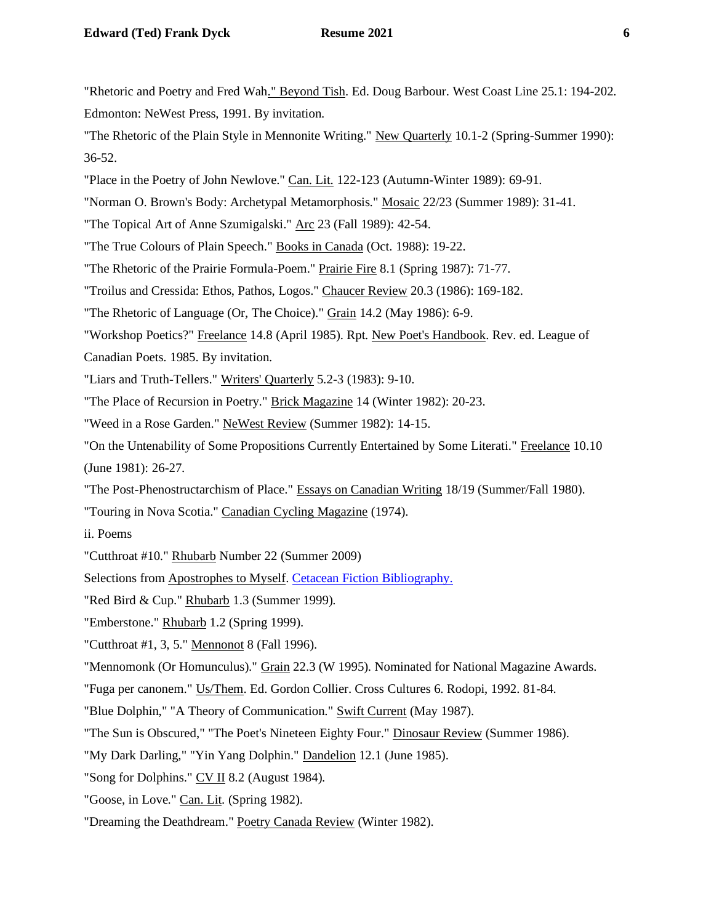"Rhetoric and Poetry and Fred Wah." Beyond Tish. Ed. Doug Barbour. West Coast Line 25.1: 194-202. Edmonton: NeWest Press, 1991. By invitation.

"The Rhetoric of the Plain Style in Mennonite Writing." New Quarterly 10.1-2 (Spring-Summer 1990): 36-52.

"Place in the Poetry of John Newlove." Can. Lit. 122-123 (Autumn-Winter 1989): 69-91.

"Norman O. Brown's Body: Archetypal Metamorphosis." Mosaic 22/23 (Summer 1989): 31-41.

- "The Topical Art of Anne Szumigalski." Arc 23 (Fall 1989): 42-54.
- "The True Colours of Plain Speech." Books in Canada (Oct. 1988): 19-22.
- "The Rhetoric of the Prairie Formula-Poem." Prairie Fire 8.1 (Spring 1987): 71-77.
- "Troilus and Cressida: Ethos, Pathos, Logos." Chaucer Review 20.3 (1986): 169-182.
- "The Rhetoric of Language (Or, The Choice)." Grain 14.2 (May 1986): 6-9.
- "Workshop Poetics?" Freelance 14.8 (April 1985). Rpt. New Poet's Handbook. Rev. ed. League of
- Canadian Poets. 1985. By invitation.
- "Liars and Truth-Tellers." Writers' Quarterly 5.2-3 (1983): 9-10.
- "The Place of Recursion in Poetry." Brick Magazine 14 (Winter 1982): 20-23.
- "Weed in a Rose Garden." NeWest Review (Summer 1982): 14-15.
- "On the Untenability of Some Propositions Currently Entertained by Some Literati." Freelance 10.10 (June 1981): 26-27.
- "The Post-Phenostructarchism of Place." Essays on Canadian Writing 18/19 (Summer/Fall 1980).
- "Touring in Nova Scotia." Canadian Cycling Magazine (1974).
- ii. Poems
- "Cutthroat #10." Rhubarb Number 22 (Summer 2009)
- Selections from Apostrophes to Myself. [Cetacean Fiction Bibliography.](http://www.helsinki.fi/~lauhakan/whale/literature/fiction.html)
- "Red Bird & Cup." Rhubarb 1.3 (Summer 1999).
- "Emberstone." Rhubarb 1.2 (Spring 1999).
- "Cutthroat #1, 3, 5." Mennonot 8 (Fall 1996).
- "Mennomonk (Or Homunculus)." Grain 22.3 (W 1995). Nominated for National Magazine Awards.
- "Fuga per canonem." Us/Them. Ed. Gordon Collier. Cross Cultures 6. Rodopi, 1992. 81-84.
- "Blue Dolphin," "A Theory of Communication." Swift Current (May 1987).
- "The Sun is Obscured," "The Poet's Nineteen Eighty Four." Dinosaur Review (Summer 1986).
- "My Dark Darling," "Yin Yang Dolphin." Dandelion 12.1 (June 1985).
- "Song for Dolphins." CV II 8.2 (August 1984).
- "Goose, in Love." Can. Lit. (Spring 1982).
- "Dreaming the Deathdream." Poetry Canada Review (Winter 1982).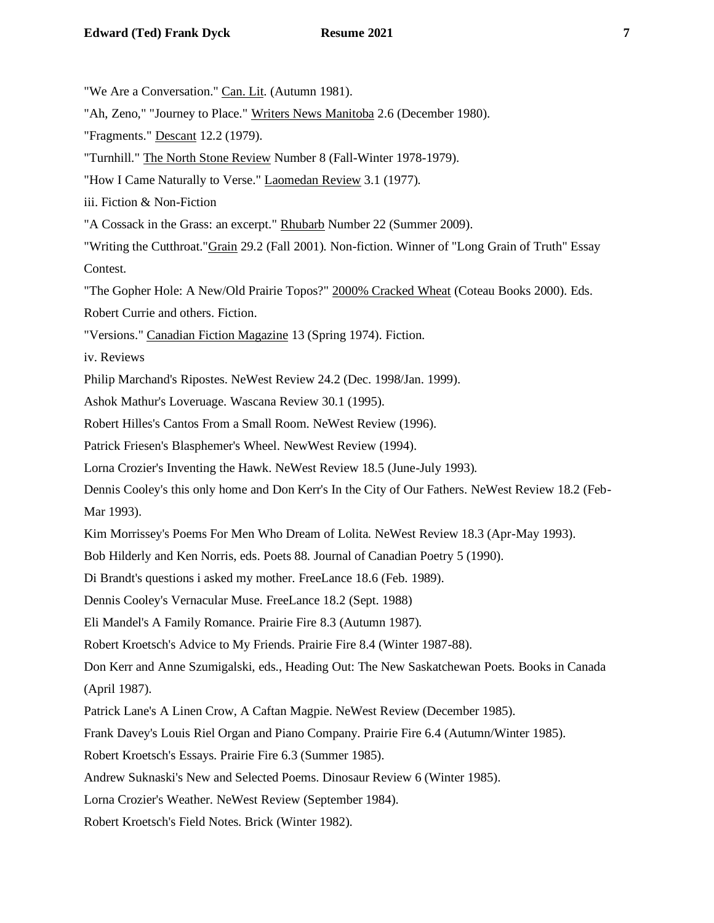"We Are a Conversation." Can. Lit. (Autumn 1981).

"Ah, Zeno," "Journey to Place." Writers News Manitoba 2.6 (December 1980).

"Fragments." Descant 12.2 (1979).

"Turnhill." The North Stone Review Number 8 (Fall-Winter 1978-1979).

"How I Came Naturally to Verse." Laomedan Review 3.1 (1977).

iii. Fiction & Non-Fiction

"A Cossack in the Grass: an excerpt." Rhubarb Number 22 (Summer 2009).

"Writing the Cutthroat."Grain 29.2 (Fall 2001). Non-fiction. Winner of "Long Grain of Truth" Essay Contest.

"The Gopher Hole: A New/Old Prairie Topos?" 2000% Cracked Wheat (Coteau Books 2000). Eds.

Robert Currie and others. Fiction.

"Versions." Canadian Fiction Magazine 13 (Spring 1974). Fiction.

iv. Reviews

Philip Marchand's Ripostes. NeWest Review 24.2 (Dec. 1998/Jan. 1999).

Ashok Mathur's Loveruage. Wascana Review 30.1 (1995).

Robert Hilles's Cantos From a Small Room. NeWest Review (1996).

Patrick Friesen's Blasphemer's Wheel. NewWest Review (1994).

Lorna Crozier's Inventing the Hawk. NeWest Review 18.5 (June-July 1993).

Dennis Cooley's this only home and Don Kerr's In the City of Our Fathers. NeWest Review 18.2 (Feb-Mar 1993).

Kim Morrissey's Poems For Men Who Dream of Lolita. NeWest Review 18.3 (Apr-May 1993).

Bob Hilderly and Ken Norris, eds. Poets 88. Journal of Canadian Poetry 5 (1990).

Di Brandt's questions i asked my mother. FreeLance 18.6 (Feb. 1989).

Dennis Cooley's Vernacular Muse. FreeLance 18.2 (Sept. 1988)

Eli Mandel's A Family Romance. Prairie Fire 8.3 (Autumn 1987).

Robert Kroetsch's Advice to My Friends. Prairie Fire 8.4 (Winter 1987-88).

Don Kerr and Anne Szumigalski, eds., Heading Out: The New Saskatchewan Poets. Books in Canada (April 1987).

Patrick Lane's A Linen Crow, A Caftan Magpie. NeWest Review (December 1985).

Frank Davey's Louis Riel Organ and Piano Company. Prairie Fire 6.4 (Autumn/Winter 1985).

Robert Kroetsch's Essays. Prairie Fire 6.3 (Summer 1985).

Andrew Suknaski's New and Selected Poems. Dinosaur Review 6 (Winter 1985).

Lorna Crozier's Weather. NeWest Review (September 1984).

Robert Kroetsch's Field Notes. Brick (Winter 1982).